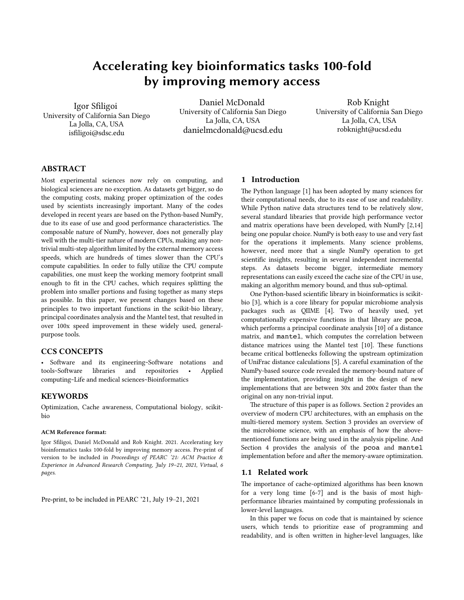# Accelerating key bioinformatics tasks 100-fold by improving memory access

Igor Sfiligoi University of California San Diego La Jolla, CA, USA isfiligoi@sdsc.edu

Daniel McDonald University of California San Diego La Jolla, CA, USA danielmcdonald@ucsd.edu

Rob Knight University of California San Diego La Jolla, CA, USA robknight@ucsd.edu

# ABSTRACT

Most experimental sciences now rely on computing, and biological sciences are no exception. As datasets get bigger, so do the computing costs, making proper optimization of the codes used by scientists increasingly important. Many of the codes developed in recent years are based on the Python-based NumPy, due to its ease of use and good performance characteristics. The composable nature of NumPy, however, does not generally play well with the multi-tier nature of modern CPUs, making any nontrivial multi-step algorithm limited by the external memory access speeds, which are hundreds of times slower than the CPU's compute capabilities. In order to fully utilize the CPU compute capabilities, one must keep the working memory footprint small enough to fit in the CPU caches, which requires spliting the problem into smaller portions and fusing together as many steps as possible. In this paper, we present changes based on these principles to two important functions in the scikit-bio library, principal coordinates analysis and the Mantel test, that resulted in over 100x speed improvement in these widely used, generalpurpose tools.

# CCS CONCEPTS

• Software and its engineering~Software notations and tools~Software libraries and repositories • Applied computing~Life and medical sciences~Bioinformatics

# **KEYWORDS**

Optimization, Cache awareness, Computational biology, scikitbio

#### ACM Reference format:

Igor Sfiligoi, Daniel McDonald and Rob Knight. 2021. Accelerating key bioinformatics tasks 100-fold by improving memory access. Pre-print of version to be included in *Proceedings of PEARC '21: ACM Practice & Experience in Advanced Research Computing, July 19–21, 2021, Virtual, 6 pages.*

Pre-print, to be included in PEARC '21, July 19–21, 2021

# 1 Introduction

The Python language [1] has been adopted by many sciences for their computational needs, due to its ease of use and readability. While Python native data structures tend to be relatively slow, several standard libraries that provide high performance vector and matrix operations have been developed, with NumPy [2,14] being one popular choice. NumPy is both easy to use and very fast for the operations it implements. Many science problems, however, need more that a single NumPy operation to get scientific insights, resulting in several independent incremental steps. As datasets become bigger, intermediate memory representations can easily exceed the cache size of the CPU in use, making an algorithm memory bound, and thus sub-optimal.

One Python-based scientific library in bioinformatics is scikitbio [3], which is a core library for popular microbiome analysis packages such as QIIME [4]. Two of heavily used, yet computationally expensive functions in that library are pcoa, which performs a principal coordinate analysis [10] of a distance matrix, and mantel, which computes the correlation between distance matrices using the Mantel test [10]. These functions became critical botlenecks following the upstream optimization of UniFrac distance calculations [5]. A careful examination of the NumPy-based source code revealed the memory-bound nature of the implementation, providing insight in the design of new implementations that are between 30x and 200x faster than the original on any non-trivial input.

The structure of this paper is as follows. Section 2 provides an overview of modern CPU architectures, with an emphasis on the multi-tiered memory system. Section 3 provides an overview of the microbiome science, with an emphasis of how the abovementioned functions are being used in the analysis pipeline. And Section 4 provides the analysis of the pcoa and mantel implementation before and after the memory-aware optimization.

# 1.1 Related work

The importance of cache-optimized algorithms has been known for a very long time [6-7] and is the basis of most highperformance libraries maintained by computing professionals in lower-level languages.

In this paper we focus on code that is maintained by science users, which tends to prioritize ease of programming and readability, and is ofen writen in higher-level languages, like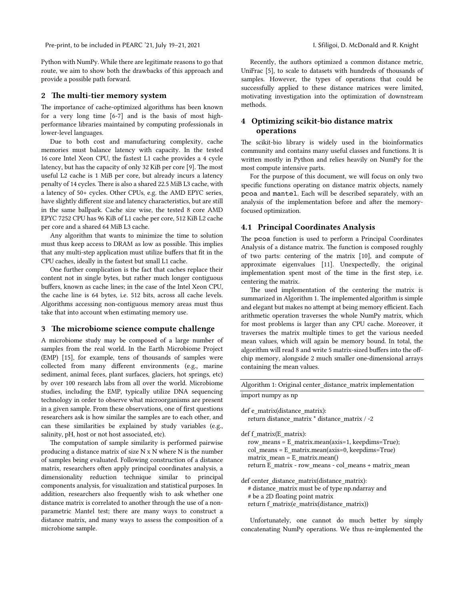Pre-print, to be included in PEARC '21, July 19-21, 2021 I. Sfiligoi, D. McDonald and R. Knight

Python with NumPy. While there are legitimate reasons to go that route, we aim to show both the drawbacks of this approach and provide a possible path forward.

#### 2 The multi-tier memory system

The importance of cache-optimized algorithms has been known for a very long time [6-7] and is the basis of most highperformance libraries maintained by computing professionals in lower-level languages.

Due to both cost and manufacturing complexity, cache memories must balance latency with capacity. In the tested 16 core Intel Xeon CPU, the fastest L1 cache provides a 4 cycle latency, but has the capacity of only 32 KiB per core [9]. The most useful L2 cache is 1 MiB per core, but already incurs a latency penalty of 14 cycles. There is also a shared 22.5 MiB L3 cache, with a latency of 50+ cycles. Other CPUs, e.g. the AMD EPYC series, have slightly different size and latency characteristics, but are still in the same ballpark. Cache size wise, the tested 8 core AMD EPYC 7252 CPU has 96 KiB of L1 cache per core, 512 KiB L2 cache per core and a shared 64 MiB L3 cache.

Any algorithm that wants to minimize the time to solution must thus keep access to DRAM as low as possible. This implies that any multi-step application must utilize buffers that fit in the CPU caches, ideally in the fastest but small L1 cache.

One further complication is the fact that caches replace their content not in single bytes, but rather much longer contiguous buffers, known as cache lines; in the case of the Intel Xeon CPU, the cache line is 64 bytes, i.e. 512 bits, across all cache levels. Algorithms accessing non-contiguous memory areas must thus take that into account when estimating memory use.

# 3 The microbiome science compute challenge

A microbiome study may be composed of a large number of samples from the real world. In the Earth Microbiome Project (EMP) [15], for example, tens of thousands of samples were collected from many different environments (e.g., marine sediment, animal feces, plant surfaces, glaciers, hot springs, etc) by over 100 research labs from all over the world. Microbiome studies, including the EMP, typically utilize DNA sequencing technology in order to observe what microorganisms are present in a given sample. From these observations, one of first questions researchers ask is how similar the samples are to each other, and can these similarities be explained by study variables (e.g., salinity, pH, host or not host associated, etc).

The computation of sample similarity is performed pairwise producing a distance matrix of size N x N where N is the number of samples being evaluated. Following construction of a distance matrix, researchers often apply principal coordinates analysis, a dimensionality reduction technique similar to principal components analysis, for visualization and statistical purposes. In addition, researchers also frequently wish to ask whether one distance matrix is correlated to another through the use of a nonparametric Mantel test; there are many ways to construct a distance matrix, and many ways to assess the composition of a microbiome sample.

Recently, the authors optimized a common distance metric, UniFrac [5], to scale to datasets with hundreds of thousands of samples. However, the types of operations that could be successfully applied to these distance matrices were limited, motivating investigation into the optimization of downstream methods.

# 4 Optimizing scikit-bio distance matrix operations

The scikit-bio library is widely used in the bioinformatics community and contains many useful classes and functions. It is writen mostly in Python and relies heavily on NumPy for the most compute intensive parts.

For the purpose of this document, we will focus on only two specific functions operating on distance matrix objects, namely pcoa and mantel. Each will be described separately, with an analysis of the implementation before and after the memoryfocused optimization.

### 4.1 Principal Coordinates Analysis

The pcoa function is used to perform a Principal Coordinates Analysis of a distance matrix. The function is composed roughly of two parts: centering of the matrix [10], and compute of approximate eigenvalues [11]. Unexpectedly, the original implementation spent most of the time in the first step, i.e. centering the matrix.

The used implementation of the centering the matrix is summarized in Algorithm 1. The implemented algorithm is simple and elegant but makes no atempt at being memory efficient. Each arithmetic operation traverses the whole NumPy matrix, which for most problems is larger than any CPU cache. Moreover, it traverses the matrix multiple times to get the various needed mean values, which will again be memory bound. In total, the algorithm will read 8 and write 5 matrix-sized buffers into the offchip memory, alongside 2 much smaller one-dimensional arrays containing the mean values.

|  | Algorithm 1: Original center_distance_matrix implementation |  |
|--|-------------------------------------------------------------|--|
|  |                                                             |  |

import numpy as np

def e\_matrix(distance\_matrix): return distance\_matrix \* distance\_matrix / -2

def f\_matrix(E\_matrix):

row means = E\_matrix.mean(axis=1, keepdims=True); col\_means = E\_matrix.mean(axis=0, keepdims=True)  $matrix_mean = E_matrix_mean()$ return E\_matrix - row\_means - col\_means + matrix\_mean

def center\_distance\_matrix(distance\_matrix): # distance\_matrix must be of type np.ndarray and # be a 2D floating point matrix return f\_matrix(e\_matrix(distance\_matrix))

Unfortunately, one cannot do much better by simply concatenating NumPy operations. We thus re-implemented the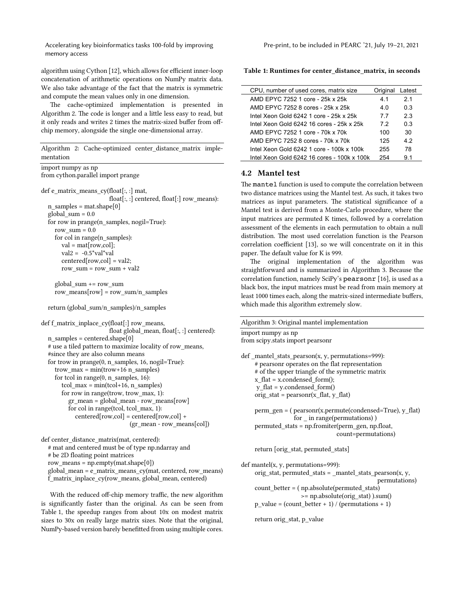Accelerating key bioinformatics tasks 100-fold by improving memory access

algorithm using Cython [12], which allows for efficient inner-loop concatenation of arithmetic operations on NumPy matrix data. We also take advantage of the fact that the matrix is symmetric and compute the mean values only in one dimension.

The cache-optimized implementation is presented in Algorithm 2. The code is longer and a little less easy to read, but it only reads and writes 2 times the matrix-sized buffer from offchip memory, alongside the single one-dimensional array.

Algorithm 2: Cache-optimized center distance matrix implementation

```
import numpy as np
from cython.parallel import prange
def e_matrix_means_cy(float[:, :] mat,
                        float[:, :] centered, float[:] row_means):
  n samples = mat.shape[0]
  global sum = 0.0for row in prange(n_samples, nogil=True):
    row sum = 0.0 for col in range(n_samples):
        val = mat[row,col];
      val2 = -0.5*val*val
        centered[row,col] = val2; 
      row sum = row sum + val2global sum + = row sumrow means[row] = row sum/n_samples
```

```
 return (global_sum/n_samples)/n_samples
```
def f\_matrix\_inplace\_cy(float[:] row\_means, float global mean, float[:, :] centered):  $n$  samples = centered.shape[0] # use a tiled pattern to maximize locality of row means, #since they are also column means for trow in prange $(0, n$  samples, 16, nogil=True): trow  $max = min(trow+16 n$  samples) for tcol in range(0, n\_samples, 16): tcol  $max = min(tcol+16, n \text{ samples})$  for row in range(trow, trow\_max, 1): gr\_mean = global\_mean - row\_means[row] for col in range(tcol, tcol\_max, 1): centered[row,col] = centered[row,col] + (gr\_mean - row\_means[col])

def center\_distance\_matrix(mat, centered): # mat and centered must be of type np.ndarray and # be 2D floating point matrices row\_means = np.empty(mat.shape[0]) global mean =  $\overline{e}$  matrix means  $cy(mat, centered, row$  means) f\_matrix\_inplace\_cy(row\_means, global\_mean, centered)

With the reduced off-chip memory traffic, the new algorithm is significantly faster than the original. As can be seen from Table 1, the speedup ranges from about 10x on modest matrix sizes to 30x on really large matrix sizes. Note that the original, NumPy-based version barely benefited from using multiple cores.

Table 1: Runtimes for center\_distance\_matrix, in seconds

| CPU, number of used cores, matrix size      | Original | Latest |
|---------------------------------------------|----------|--------|
| AMD FPYC 7252 1 core - 25k x 25k            | 4.1      | 21     |
| AMD FPYC 7252 8 cores - 25k x 25k           | 4.0      | 0.3    |
| Intel Xeon Gold 6242 1 core - 25k x 25k     | 7.7      | 2.3    |
| Intel Xeon Gold 6242 16 cores - 25k x 25k   | 7.2      | 0.3    |
| AMD FPYC 7252 1 core - 70k x 70k            | 100      | 30     |
| AMD FPYC 7252 8 cores - 70k x 70k           | 125      | 4.2    |
| Intel Xeon Gold 6242 1 core - 100k x 100k   | 255      | 78     |
| Intel Xeon Gold 6242 16 cores - 100k x 100k | 254      | 91     |

# 4.2 Mantel test

The mantel function is used to compute the correlation between two distance matrices using the Mantel test. As such, it takes two matrices as input parameters. The statistical significance of a Mantel test is derived from a Monte-Carlo procedure, where the input matrices are permuted K times, followed by a correlation assessment of the elements in each permutation to obtain a null distribution. The most used correlation function is the Pearson correlation coefficient [13], so we will concentrate on it in this paper. The default value for K is 999.

The original implementation of the algorithm was straightforward and is summarized in Algorithm 3. Because the correlation function, namely SciPy's pearsonr [16], is used as a black box, the input matrices must be read from main memory at least 1000 times each, along the matrix-sized intermediate buffers, which made this algorithm extremely slow.

Algorithm 3: Original mantel implementation

```
import numpy as np
from scipy.stats import pearsonr
def mantel stats pearson(x, y, permutations=999):
      # pearsonr operates on the flat representation 
      # of the upper triangle of the symmetric matrix
    x flat = x.condensed form();
      y_flat = y.condensed_form()
    orig_stat = pearsonr(x_flat, y_flat)perm_gen = (pearsonr(x.permute(condensed=True), y flat)for in range(permutations))
     permuted_stats = np.fromiter(perm_gen, np.float, 
                                  count=permutations)
     return [orig_stat, permuted_stats]
def mantel(x, y, permutations=999):
    orig_stat, permuted_stats = _mantel_stats_pearson(x, y,
                                                 permutations)
      count_better = ( np.absolute(permuted_stats)
```

```
 >= np.absolute(orig_stat) ).sum()
p_value = (count_better + 1) / (permutations + 1)
```

```
 return orig_stat, p_value
```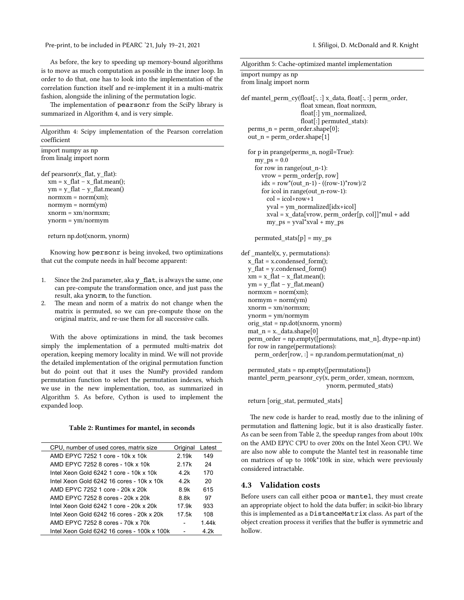Pre-print, to be included in PEARC '21, July 19-21, 2021 I. Sfiligoi, D. McDonald and R. Knight

As before, the key to speeding up memory-bound algorithms is to move as much computation as possible in the inner loop. In order to do that, one has to look into the implementation of the correlation function itself and re-implement it in a multi-matrix fashion, alongside the inlining of the permutation logic.

The implementation of pearsonr from the SciPy library is summarized in Algorithm 4, and is very simple.

Algorithm 4: Scipy implementation of the Pearson correlation coefficient

import numpy as np from linalg import norm

def pearsonr(x\_flat, y\_flat):  $xm = x$  flat – x flat.mean();  $ym = y_{flat - y_{flat.}$ mean()  $normxm = norm(xm);$  $normym = norm(ym)$  xnorm = xm/normxm; ynorm = ym/normym

return np.dot(xnorm, ynorm)

Knowing how personr is being invoked, two optimizations that cut the compute needs in half become apparent:

- 1. Since the 2nd parameter, aka y flat, is always the same, one can pre-compute the transformation once, and just pass the result, aka ynorm, to the function.
- 2. The mean and norm of a matrix do not change when the matrix is permuted, so we can pre-compute those on the original matrix, and re-use them for all successive calls.

With the above optimizations in mind, the task becomes simply the implementation of a permuted multi-matrix dot operation, keeping memory locality in mind. We will not provide the detailed implementation of the original permutation function but do point out that it uses the NumPy provided random permutation function to select the permutation indexes, which we use in the new implementation, too, as summarized in Algorithm 5. As before, Cython is used to implement the expanded loop.

#### Table 2: Runtimes for mantel, in seconds

| CPU, number of used cores, matrix size      | Original | Latest |
|---------------------------------------------|----------|--------|
| AMD FPYC 7252 1 core - 10k x 10k            | 2.19k    | 149    |
| AMD FPYC 7252 8 cores - 10k x 10k           | 2.17k    | 24     |
| Intel Xeon Gold 6242 1 core - 10k x 10k     | 4.2k     | 170    |
| Intel Xeon Gold 6242 16 cores - 10k x 10k   | 4.2k     | 20     |
| AMD FPYC 7252 1 core - 20k x 20k            | 8.9k     | 615    |
| AMD FPYC 7252 8 cores - 20k x 20k           | 8.8k     | 97     |
| Intel Xeon Gold 6242 1 core - 20k x 20k     | 17.9k    | 933    |
| Intel Xeon Gold 6242 16 cores - 20k x 20k   | 17.5k    | 108    |
| AMD FPYC 7252 8 cores - 70k x 70k           |          | 1.44k  |
| Intel Xeon Gold 6242 16 cores - 100k x 100k |          | 4.2k   |

| import numpy as np<br>from linalg import norm                                                                                                                                                                                                                                                                                                             |
|-----------------------------------------------------------------------------------------------------------------------------------------------------------------------------------------------------------------------------------------------------------------------------------------------------------------------------------------------------------|
| def mantel_perm_cy(float[:, :] x_data, float[:, :] perm_order,<br>float xmean, float normxm,<br>float[:] ym_normalized,<br>float[:] permuted stats):<br>perms_n = perm_order.shape[0];<br>$out_n = perm_order.shape[1]$                                                                                                                                   |
| for p in prange(perms_n, nogil=True):<br>$my_ps = 0.0$<br>for row in range(out_n-1):<br>$vrow = perm$ order[p, row]<br>$idx = row*(out_n-1) - ((row-1)*row)/2$<br>for icol in range(out_n-row-1):<br>$col = icol + row + 1$<br>yval = ym_normalized[idx+icol]<br>$xval = x_data[$ vrow, perm_order $[p, col]]$ *mul + add<br>$my_ps = yval^*xval + my_ps$ |
| permuted stats $[p] = my$ ps                                                                                                                                                                                                                                                                                                                              |
| def _mantel(x, y, permutations):<br>$x$ flat = x.condensed form();<br>$y_{\text{flat}} = y \text{.condensed\_form}()$<br>$xm = x$ flat – x flat.mean();<br>$ym = y_{flat} - y_{flat}$ .mean()<br>$normxm = norm(xm);$<br>$normym = norm(ym)$<br>$xnorm = xm/normxm;$                                                                                      |

Algorithm 5: Cache-optimized mantel implementation

 ynorm = ym/normym orig\_stat = np.dot(xnorm, ynorm)

mat  $n = x$ . data.shape[0]

 perm\_order = np.empty([permutations, mat\_n], dtype=np.int) for row in range(permutations):

perm\_order[row, :] = np.random.permutation(mat\_n)

```
 permuted_stats = np.empty([permutations])
mantel perm pearsonr cy(x, perm\ order, xmean, normxm, ynorm, permuted_stats)
```
return [orig\_stat, permuted\_stats]

The new code is harder to read, mostly due to the inlining of permutation and flatening logic, but it is also drastically faster. As can be seen from Table 2, the speedup ranges from about 100x on the AMD EPYC CPU to over 200x on the Intel Xeon CPU. We are also now able to compute the Mantel test in reasonable time on matrices of up to 100k\*100k in size, which were previously considered intractable.

### 4.3 Validation costs

Before users can call either pcoa or mantel, they must create an appropriate object to hold the data buffer; in scikit-bio library this is implemented as a DistanceMatrix class. As part of the object creation process it verifies that the buffer is symmetric and hollow.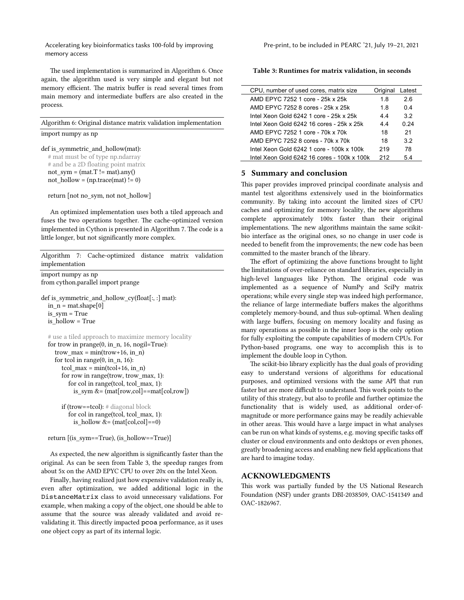Accelerating key bioinformatics tasks 100-fold by improving memory access

The used implementation is summarized in Algorithm 6. Once again, the algorithm used is very simple and elegant but not memory efficient. The matrix buffer is read several times from main memory and intermediate buffers are also created in the process.

Algorithm 6: Original distance matrix validation implementation import numpy as np

### def is\_symmetric\_and\_hollow(mat):

 # mat must be of type np.ndarray # and be a 2D floating point matrix not  $sym = (mat.T != mat).any()$ not hollow =  $(np trace(mat) != 0)$ 

return [not no\_sym, not not\_hollow]

An optimized implementation uses both a tiled approach and fuses the two operations together. The cache-optimized version implemented in Cython is presented in Algorithm 7. The code is a litle longer, but not significantly more complex.

Algorithm 7: Cache-optimized distance matrix validation implementation

import numpy as np from cython.parallel import prange

def is symmetric and hollow  $cy(float[:, :] mat):$ in  $n =$  mat.shape[0] is\_sym = True is\_hollow = True

```
 # use a tiled approach to maximize memory locality
for trow in prange(0, \text{in } n, 16, \text{nogil=True}):
  trow max = min(trow+16, in n)for tcol in range(0, \text{in } n, 16):
     tcol max = min(tcol+16, in n)
      for row in range(trow, trow_max, 1):
         for col in range(tcol, tcol_max, 1):
          is_sym &=(\text{mat}[\text{row,col}]=\text{mat}[\text{col,row}])
```
 if (trow==tcol): # diagonal block for col in range(tcol, tcol\_max, 1): is hollow  $&=(mat[col,col]=-0)$ 

return [(is\_sym==True), (is\_hollow==True)]

As expected, the new algorithm is significantly faster than the original. As can be seen from Table 3, the speedup ranges from about 5x on the AMD EPYC CPU to over 20x on the Intel Xeon.

Finally, having realized just how expensive validation really is, even after optimization, we added additional logic in the DistanceMatrix class to avoid unnecessary validations. For example, when making a copy of the object, one should be able to assume that the source was already validated and avoid revalidating it. This directly impacted pcoa performance, as it uses one object copy as part of its internal logic.

Table 3: Runtimes for matrix validation, in seconds

| CPU, number of used cores, matrix size |                                             | Original | Latest |  |
|----------------------------------------|---------------------------------------------|----------|--------|--|
|                                        | AMD FPYC 7252 1 core - 25k x 25k            | 1.8      | 2.6    |  |
|                                        | AMD FPYC 7252 8 cores - 25k x 25k           | 1.8      | 0.4    |  |
|                                        | Intel Xeon Gold 6242 1 core - 25k x 25k     | 44       | 3.2    |  |
|                                        | Intel Xeon Gold 6242 16 cores - 25k x 25k   | 44       | 0.24   |  |
|                                        | AMD FPYC 7252 1 core - 70k x 70k            | 18       | 21     |  |
|                                        | AMD FPYC 7252 8 cores - 70k x 70k           | 18       | 3.2    |  |
|                                        | Intel Xeon Gold 6242 1 core - 100k x 100k   | 219      | 78     |  |
|                                        | Intel Xeon Gold 6242 16 cores - 100k x 100k | 212      | 5.4    |  |

# 5 Summary and conclusion

L.

This paper provides improved principal coordinate analysis and mantel test algorithms extensively used in the bioinformatics community. By taking into account the limited sizes of CPU caches and optimizing for memory locality, the new algorithms complete approximately 100x faster than their original implementations. The new algorithms maintain the same scikitbio interface as the original ones, so no change in user code is needed to benefit from the improvements; the new code has been commited to the master branch of the library.

The effort of optimizing the above functions brought to light the limitations of over-reliance on standard libraries, especially in high-level languages like Python. The original code was implemented as a sequence of NumPy and SciPy matrix operations; while every single step was indeed high performance, the reliance of large intermediate buffers makes the algorithms completely memory-bound, and thus sub-optimal. When dealing with large buffers, focusing on memory locality and fusing as many operations as possible in the inner loop is the only option for fully exploiting the compute capabilities of modern CPUs. For Python-based programs, one way to accomplish this is to implement the double loop in Cython.

The scikit-bio library explicitly has the dual goals of providing easy to understand versions of algorithms for educational purposes, and optimized versions with the same API that run faster but are more difficult to understand. This work points to the utility of this strategy, but also to profile and further optimize the functionality that is widely used, as additional order-ofmagnitude or more performance gains may be readily achievable in other areas. This would have a large impact in what analyses can be run on what kinds of systems, e.g. moving specific tasks off cluster or cloud environments and onto desktops or even phones, greatly broadening access and enabling new field applications that are hard to imagine today.

### ACKNOWLEDGMENTS

This work was partially funded by the US National Research Foundation (NSF) under grants DBI-2038509, OAC-1541349 and OAC-1826967.